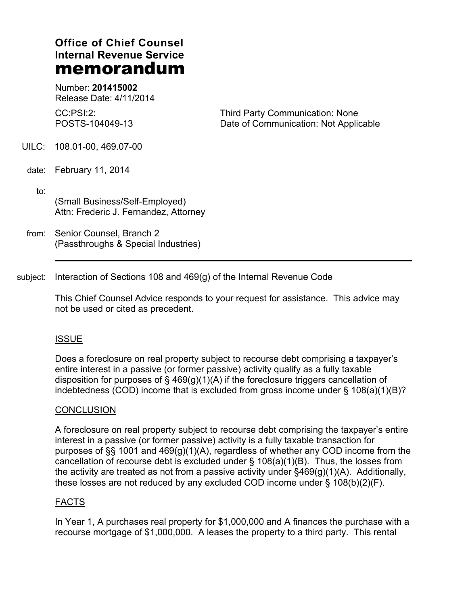# **Office of Chief Counsel Internal Revenue Service memorandum**

Number: **201415002** Release Date: 4/11/2014

 $CC$  $PSI.2$ POSTS-104049-13 Third Party Communication: None Date of Communication: Not Applicable

UILC: 108.01-00, 469.07-00

date: February 11, 2014

 $\mathsf{to:}\qquad\qquad$ (Small Business/Self-Employed) Attn: Frederic J. Fernandez, Attorney

from: Senior Counsel, Branch 2 (Passthroughs & Special Industries)

subject: Interaction of Sections 108 and 469(g) of the Internal Revenue Code

This Chief Counsel Advice responds to your request for assistance. This advice may not be used or cited as precedent.

## ISSUE

Does a foreclosure on real property subject to recourse debt comprising a taxpayer's entire interest in a passive (or former passive) activity qualify as a fully taxable disposition for purposes of  $\S$  469(g)(1)(A) if the foreclosure triggers cancellation of indebtedness (COD) income that is excluded from gross income under § 108(a)(1)(B)?

## **CONCLUSION**

A foreclosure on real property subject to recourse debt comprising the taxpayer's entire interest in a passive (or former passive) activity is a fully taxable transaction for purposes of §§ 1001 and 469(g)(1)(A), regardless of whether any COD income from the cancellation of recourse debt is excluded under  $\S$  108(a)(1)(B). Thus, the losses from the activity are treated as not from a passive activity under §469(g)(1)(A). Additionally, these losses are not reduced by any excluded COD income under  $\S$  108(b)(2)(F).

#### FACTS

In Year 1, A purchases real property for \$1,000,000 and A finances the purchase with a recourse mortgage of \$1,000,000. A leases the property to a third party. This rental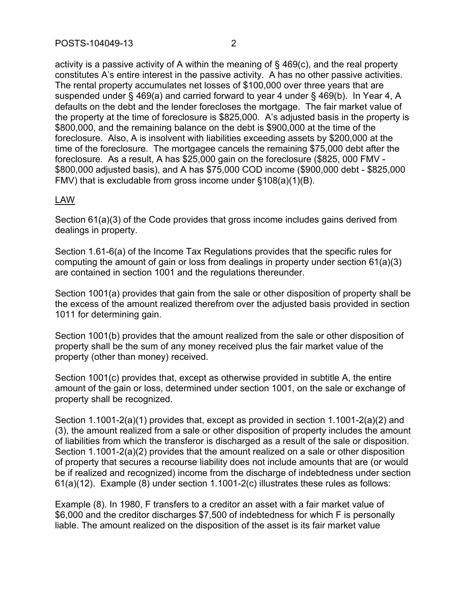activity is a passive activity of A within the meaning of § 469(c), and the real property constitutes A's entire interest in the passive activity. A has no other passive activities. The rental property accumulates net losses of \$100,000 over three years that are suspended under § 469(a) and carried forward to year 4 under § 469(b). In Year 4, A defaults on the debt and the lender forecloses the mortgage. The fair market value of the property at the time of foreclosure is \$825,000. A's adjusted basis in the property is \$800,000, and the remaining balance on the debt is \$900,000 at the time of the foreclosure. Also, A is insolvent with liabilities exceeding assets by \$200,000 at the time of the foreclosure. The mortgagee cancels the remaining \$75,000 debt after the foreclosure. As a result, A has \$25,000 gain on the foreclosure (\$825, 000 FMV - \$800,000 adjusted basis), and A has \$75,000 COD income (\$900,000 debt - \$825,000 FMV) that is excludable from gross income under §108(a)(1)(B).

## LAW

Section 61(a)(3) of the Code provides that gross income includes gains derived from dealings in property.

Section 1.61-6(a) of the Income Tax Regulations provides that the specific rules for computing the amount of gain or loss from dealings in property under section 61(a)(3) are contained in section 1001 and the regulations thereunder.

Section 1001(a) provides that gain from the sale or other disposition of property shall be the excess of the amount realized therefrom over the adjusted basis provided in section 1011 for determining gain.

Section 1001(b) provides that the amount realized from the sale or other disposition of property shall be the sum of any money received plus the fair market value of the property (other than money) received.

Section 1001(c) provides that, except as otherwise provided in subtitle A, the entire amount of the gain or loss, determined under section 1001, on the sale or exchange of property shall be recognized.

Section 1.1001-2(a)(1) provides that, except as provided in section 1.1001-2(a)(2) and (3), the amount realized from a sale or other disposition of property includes the amount of liabilities from which the transferor is discharged as a result of the sale or disposition. Section 1.1001-2(a)(2) provides that the amount realized on a sale or other disposition of property that secures a recourse liability does not include amounts that are (or would be if realized and recognized) income from the discharge of indebtedness under section 61(a)(12). Example (8) under section 1.1001-2(c) illustrates these rules as follows:

Example (8). In 1980, F transfers to a creditor an asset with a fair market value of \$6,000 and the creditor discharges \$7,500 of indebtedness for which F is personally liable. The amount realized on the disposition of the asset is its fair market value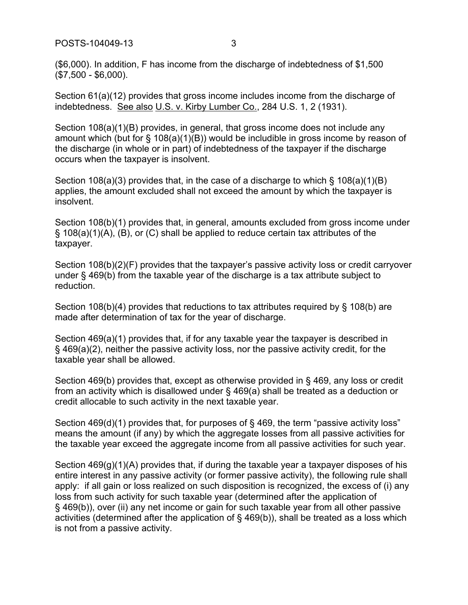POSTS-104049-13 3

(\$6,000). In addition, F has income from the discharge of indebtedness of \$1,500 (\$7,500 - \$6,000).

Section 61(a)(12) provides that gross income includes income from the discharge of indebtedness. See also U.S. v. Kirby Lumber Co., 284 U.S. 1, 2 (1931).

Section 108(a)(1)(B) provides, in general, that gross income does not include any amount which (but for  $\S$  108(a)(1)(B)) would be includible in gross income by reason of the discharge (in whole or in part) of indebtedness of the taxpayer if the discharge occurs when the taxpayer is insolvent.

Section 108(a)(3) provides that, in the case of a discharge to which § 108(a)(1)(B) applies, the amount excluded shall not exceed the amount by which the taxpayer is insolvent.

Section 108(b)(1) provides that, in general, amounts excluded from gross income under § 108(a)(1)(A), (B), or (C) shall be applied to reduce certain tax attributes of the taxpayer.

Section 108(b)(2)(F) provides that the taxpayer's passive activity loss or credit carryover under § 469(b) from the taxable year of the discharge is a tax attribute subject to reduction.

Section 108(b)(4) provides that reductions to tax attributes required by § 108(b) are made after determination of tax for the year of discharge.

Section 469(a)(1) provides that, if for any taxable year the taxpayer is described in § 469(a)(2), neither the passive activity loss, nor the passive activity credit, for the taxable year shall be allowed.

Section 469(b) provides that, except as otherwise provided in § 469, any loss or credit from an activity which is disallowed under § 469(a) shall be treated as a deduction or credit allocable to such activity in the next taxable year.

Section 469(d)(1) provides that, for purposes of § 469, the term "passive activity loss" means the amount (if any) by which the aggregate losses from all passive activities for the taxable year exceed the aggregate income from all passive activities for such year.

Section 469(g)(1)(A) provides that, if during the taxable year a taxpayer disposes of his entire interest in any passive activity (or former passive activity), the following rule shall apply: if all gain or loss realized on such disposition is recognized, the excess of (i) any loss from such activity for such taxable year (determined after the application of § 469(b)), over (ii) any net income or gain for such taxable year from all other passive activities (determined after the application of § 469(b)), shall be treated as a loss which is not from a passive activity.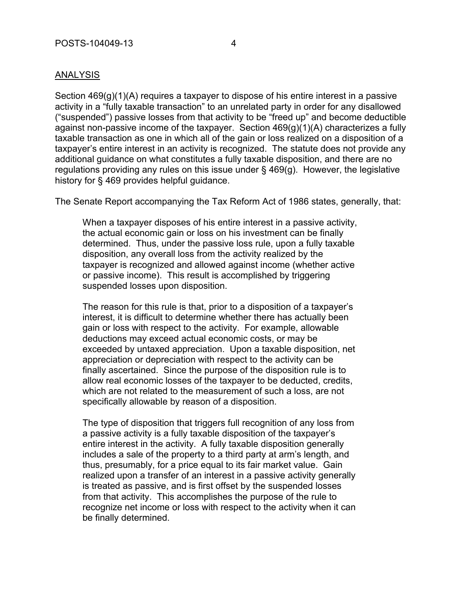### ANALYSIS

Section 469(g)(1)(A) requires a taxpayer to dispose of his entire interest in a passive activity in a "fully taxable transaction" to an unrelated party in order for any disallowed ("suspended") passive losses from that activity to be "freed up" and become deductible against non-passive income of the taxpayer. Section  $469(g)(1)(A)$  characterizes a fully taxable transaction as one in which all of the gain or loss realized on a disposition of a taxpayer's entire interest in an activity is recognized. The statute does not provide any additional guidance on what constitutes a fully taxable disposition, and there are no regulations providing any rules on this issue under § 469(g). However, the legislative history for § 469 provides helpful guidance.

The Senate Report accompanying the Tax Reform Act of 1986 states, generally, that:

When a taxpayer disposes of his entire interest in a passive activity, the actual economic gain or loss on his investment can be finally determined. Thus, under the passive loss rule, upon a fully taxable disposition, any overall loss from the activity realized by the taxpayer is recognized and allowed against income (whether active or passive income). This result is accomplished by triggering suspended losses upon disposition.

The reason for this rule is that, prior to a disposition of a taxpayer's interest, it is difficult to determine whether there has actually been gain or loss with respect to the activity. For example, allowable deductions may exceed actual economic costs, or may be exceeded by untaxed appreciation. Upon a taxable disposition, net appreciation or depreciation with respect to the activity can be finally ascertained. Since the purpose of the disposition rule is to allow real economic losses of the taxpayer to be deducted, credits, which are not related to the measurement of such a loss, are not specifically allowable by reason of a disposition.

The type of disposition that triggers full recognition of any loss from a passive activity is a fully taxable disposition of the taxpayer's entire interest in the activity. A fully taxable disposition generally includes a sale of the property to a third party at arm's length, and thus, presumably, for a price equal to its fair market value. Gain realized upon a transfer of an interest in a passive activity generally is treated as passive, and is first offset by the suspended losses from that activity. This accomplishes the purpose of the rule to recognize net income or loss with respect to the activity when it can be finally determined.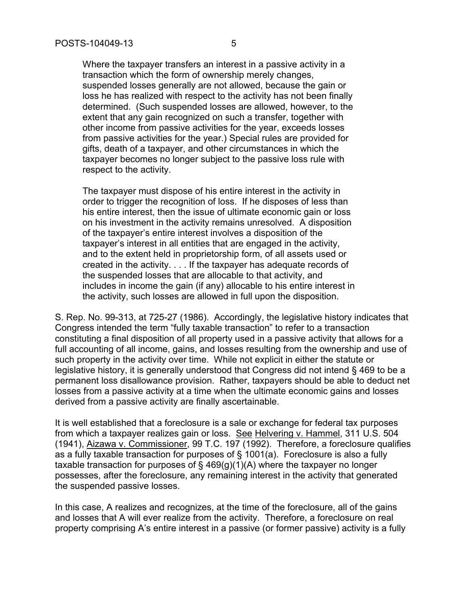Where the taxpayer transfers an interest in a passive activity in a transaction which the form of ownership merely changes, suspended losses generally are not allowed, because the gain or loss he has realized with respect to the activity has not been finally determined. (Such suspended losses are allowed, however, to the extent that any gain recognized on such a transfer, together with other income from passive activities for the year, exceeds losses from passive activities for the year.) Special rules are provided for gifts, death of a taxpayer, and other circumstances in which the taxpayer becomes no longer subject to the passive loss rule with respect to the activity.

The taxpayer must dispose of his entire interest in the activity in order to trigger the recognition of loss. If he disposes of less than his entire interest, then the issue of ultimate economic gain or loss on his investment in the activity remains unresolved. A disposition of the taxpayer's entire interest involves a disposition of the taxpayer's interest in all entities that are engaged in the activity, and to the extent held in proprietorship form, of all assets used or created in the activity. . . . If the taxpayer has adequate records of the suspended losses that are allocable to that activity, and includes in income the gain (if any) allocable to his entire interest in the activity, such losses are allowed in full upon the disposition.

S. Rep. No. 99-313, at 725-27 (1986). Accordingly, the legislative history indicates that Congress intended the term "fully taxable transaction" to refer to a transaction constituting a final disposition of all property used in a passive activity that allows for a full accounting of all income, gains, and losses resulting from the ownership and use of such property in the activity over time. While not explicit in either the statute or legislative history, it is generally understood that Congress did not intend § 469 to be a permanent loss disallowance provision. Rather, taxpayers should be able to deduct net losses from a passive activity at a time when the ultimate economic gains and losses derived from a passive activity are finally ascertainable.

It is well established that a foreclosure is a sale or exchange for federal tax purposes from which a taxpayer realizes gain or loss. See Helvering v. Hammel, 311 U.S. 504 (1941), Aizawa v. Commissioner, 99 T.C. 197 (1992). Therefore, a foreclosure qualifies as a fully taxable transaction for purposes of § 1001(a). Foreclosure is also a fully taxable transaction for purposes of § 469(g)(1)(A) where the taxpayer no longer possesses, after the foreclosure, any remaining interest in the activity that generated the suspended passive losses.

In this case, A realizes and recognizes, at the time of the foreclosure, all of the gains and losses that A will ever realize from the activity. Therefore, a foreclosure on real property comprising A's entire interest in a passive (or former passive) activity is a fully